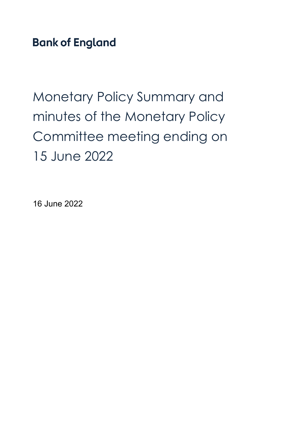**Bank of England** 

Monetary Policy Summary and minutes of the Monetary Policy Committee meeting ending on 15 June 2022

16 June 2022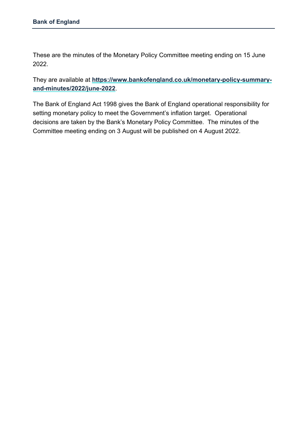These are the minutes of the Monetary Policy Committee meeting ending on 15 June 2022.

They are available at **[https://www.bankofengland.co.uk/monetary-policy-summary](https://www.bankofengland.co.uk/monetary-policy-summary-and-minutes/2022/june-2022)[and-minutes/2022/june-2022](https://www.bankofengland.co.uk/monetary-policy-summary-and-minutes/2022/june-2022)**.

The Bank of England Act 1998 gives the Bank of England operational responsibility for setting monetary policy to meet the Government's inflation target. Operational decisions are taken by the Bank's Monetary Policy Committee. The minutes of the Committee meeting ending on 3 August will be published on 4 August 2022.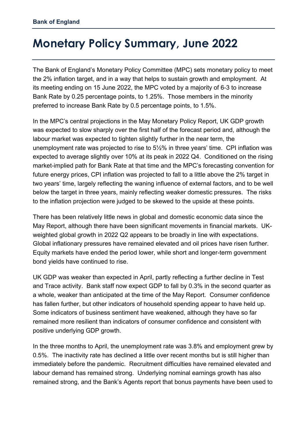# **Monetary Policy Summary, June 2022**

The Bank of England's Monetary Policy Committee (MPC) sets monetary policy to meet the 2% inflation target, and in a way that helps to sustain growth and employment. At its meeting ending on 15 June 2022, the MPC voted by a majority of 6-3 to increase Bank Rate by 0.25 percentage points, to 1.25%. Those members in the minority preferred to increase Bank Rate by 0.5 percentage points, to 1.5%.

In the MPC's central projections in the May Monetary Policy Report, UK GDP growth was expected to slow sharply over the first half of the forecast period and, although the labour market was expected to tighten slightly further in the near term, the unemployment rate was projected to rise to 5½% in three years' time. CPI inflation was expected to average slightly over 10% at its peak in 2022 Q4. Conditioned on the rising market-implied path for Bank Rate at that time and the MPC's forecasting convention for future energy prices, CPI inflation was projected to fall to a little above the 2% target in two years' time, largely reflecting the waning influence of external factors, and to be well below the target in three years, mainly reflecting weaker domestic pressures. The risks to the inflation projection were judged to be skewed to the upside at these points.

There has been relatively little news in global and domestic economic data since the May Report, although there have been significant movements in financial markets. UKweighted global growth in 2022 Q2 appears to be broadly in line with expectations. Global inflationary pressures have remained elevated and oil prices have risen further. Equity markets have ended the period lower, while short and longer-term government bond yields have continued to rise.

UK GDP was weaker than expected in April, partly reflecting a further decline in Test and Trace activity. Bank staff now expect GDP to fall by 0.3% in the second quarter as a whole, weaker than anticipated at the time of the May Report. Consumer confidence has fallen further, but other indicators of household spending appear to have held up. Some indicators of business sentiment have weakened, although they have so far remained more resilient than indicators of consumer confidence and consistent with positive underlying GDP growth.

In the three months to April, the unemployment rate was 3.8% and employment grew by 0.5%. The inactivity rate has declined a little over recent months but is still higher than immediately before the pandemic. Recruitment difficulties have remained elevated and labour demand has remained strong. Underlying nominal earnings growth has also remained strong, and the Bank's Agents report that bonus payments have been used to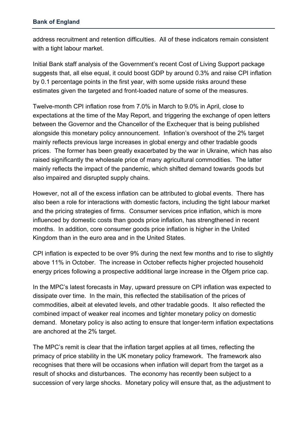address recruitment and retention difficulties. All of these indicators remain consistent with a tight labour market.

Initial Bank staff analysis of the Government's recent Cost of Living Support package suggests that, all else equal, it could boost GDP by around 0.3% and raise CPI inflation by 0.1 percentage points in the first year, with some upside risks around these estimates given the targeted and front-loaded nature of some of the measures.

Twelve-month CPI inflation rose from 7.0% in March to 9.0% in April, close to expectations at the time of the May Report, and triggering the exchange of open letters between the Governor and the Chancellor of the Exchequer that is being published alongside this monetary policy announcement. Inflation's overshoot of the 2% target mainly reflects previous large increases in global energy and other tradable goods prices. The former has been greatly exacerbated by the war in Ukraine, which has also raised significantly the wholesale price of many agricultural commodities. The latter mainly reflects the impact of the pandemic, which shifted demand towards goods but also impaired and disrupted supply chains.

However, not all of the excess inflation can be attributed to global events. There has also been a role for interactions with domestic factors, including the tight labour market and the pricing strategies of firms. Consumer services price inflation, which is more influenced by domestic costs than goods price inflation, has strengthened in recent months. In addition, core consumer goods price inflation is higher in the United Kingdom than in the euro area and in the United States.

CPI inflation is expected to be over 9% during the next few months and to rise to slightly above 11% in October. The increase in October reflects higher projected household energy prices following a prospective additional large increase in the Ofgem price cap.

In the MPC's latest forecasts in May, upward pressure on CPI inflation was expected to dissipate over time. In the main, this reflected the stabilisation of the prices of commodities, albeit at elevated levels, and other tradable goods. It also reflected the combined impact of weaker real incomes and tighter monetary policy on domestic demand. Monetary policy is also acting to ensure that longer-term inflation expectations are anchored at the 2% target.

The MPC's remit is clear that the inflation target applies at all times, reflecting the primacy of price stability in the UK monetary policy framework. The framework also recognises that there will be occasions when inflation will depart from the target as a result of shocks and disturbances. The economy has recently been subject to a succession of very large shocks. Monetary policy will ensure that, as the adjustment to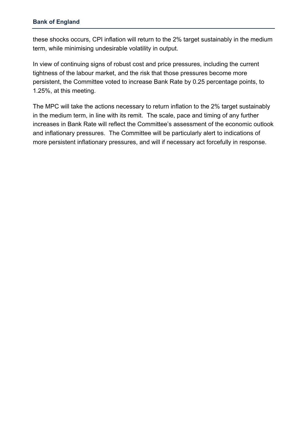these shocks occurs, CPI inflation will return to the 2% target sustainably in the medium term, while minimising undesirable volatility in output.

In view of continuing signs of robust cost and price pressures, including the current tightness of the labour market, and the risk that those pressures become more persistent, the Committee voted to increase Bank Rate by 0.25 percentage points, to 1.25%, at this meeting.

The MPC will take the actions necessary to return inflation to the 2% target sustainably in the medium term, in line with its remit. The scale, pace and timing of any further increases in Bank Rate will reflect the Committee's assessment of the economic outlook and inflationary pressures. The Committee will be particularly alert to indications of more persistent inflationary pressures, and will if necessary act forcefully in response.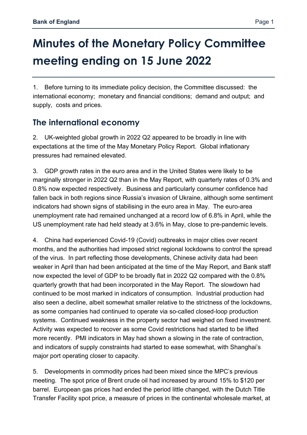# **Minutes of the Monetary Policy Committee meeting ending on 15 June 2022**

1. Before turning to its immediate policy decision, the Committee discussed: the international economy; monetary and financial conditions; demand and output; and supply, costs and prices.

## **The international economy**

2. UK-weighted global growth in 2022 Q2 appeared to be broadly in line with expectations at the time of the May Monetary Policy Report. Global inflationary pressures had remained elevated.

3. GDP growth rates in the euro area and in the United States were likely to be marginally stronger in 2022 Q2 than in the May Report, with quarterly rates of 0.3% and 0.8% now expected respectively. Business and particularly consumer confidence had fallen back in both regions since Russia's invasion of Ukraine, although some sentiment indicators had shown signs of stabilising in the euro area in May. The euro-area unemployment rate had remained unchanged at a record low of 6.8% in April, while the US unemployment rate had held steady at 3.6% in May, close to pre-pandemic levels.

4. China had experienced Covid-19 (Covid) outbreaks in major cities over recent months, and the authorities had imposed strict regional lockdowns to control the spread of the virus. In part reflecting those developments, Chinese activity data had been weaker in April than had been anticipated at the time of the May Report, and Bank staff now expected the level of GDP to be broadly flat in 2022 Q2 compared with the 0.8% quarterly growth that had been incorporated in the May Report. The slowdown had continued to be most marked in indicators of consumption. Industrial production had also seen a decline, albeit somewhat smaller relative to the strictness of the lockdowns, as some companies had continued to operate via so-called closed-loop production systems. Continued weakness in the property sector had weighed on fixed investment. Activity was expected to recover as some Covid restrictions had started to be lifted more recently. PMI indicators in May had shown a slowing in the rate of contraction, and indicators of supply constraints had started to ease somewhat, with Shanghai's major port operating closer to capacity.

5. Developments in commodity prices had been mixed since the MPC's previous meeting. The spot price of Brent crude oil had increased by around 15% to \$120 per barrel. European gas prices had ended the period little changed, with the Dutch Title Transfer Facility spot price, a measure of prices in the continental wholesale market, at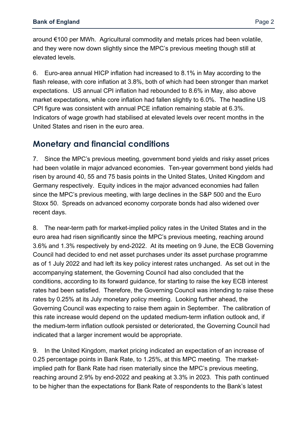around €100 per MWh. Agricultural commodity and metals prices had been volatile, and they were now down slightly since the MPC's previous meeting though still at elevated levels.

6. Euro-area annual HICP inflation had increased to 8.1% in May according to the flash release, with core inflation at 3.8%, both of which had been stronger than market expectations. US annual CPI inflation had rebounded to 8.6% in May, also above market expectations, while core inflation had fallen slightly to 6.0%. The headline US CPI figure was consistent with annual PCE inflation remaining stable at 6.3%. Indicators of wage growth had stabilised at elevated levels over recent months in the United States and risen in the euro area.

#### **Monetary and financial conditions**

7. Since the MPC's previous meeting, government bond yields and risky asset prices had been volatile in major advanced economies. Ten-year government bond yields had risen by around 40, 55 and 75 basis points in the United States, United Kingdom and Germany respectively. Equity indices in the major advanced economies had fallen since the MPC's previous meeting, with large declines in the S&P 500 and the Euro Stoxx 50. Spreads on advanced economy corporate bonds had also widened over recent days.

8. The near-term path for market-implied policy rates in the United States and in the euro area had risen significantly since the MPC's previous meeting, reaching around 3.6% and 1.3% respectively by end-2022. At its meeting on 9 June, the ECB Governing Council had decided to end net asset purchases under its asset purchase programme as of 1 July 2022 and had left its key policy interest rates unchanged. As set out in the accompanying statement, the Governing Council had also concluded that the conditions, according to its forward guidance, for starting to raise the key ECB interest rates had been satisfied. Therefore, the Governing Council was intending to raise these rates by 0.25% at its July monetary policy meeting. Looking further ahead, the Governing Council was expecting to raise them again in September. The calibration of this rate increase would depend on the updated medium-term inflation outlook and, if the medium-term inflation outlook persisted or deteriorated, the Governing Council had indicated that a larger increment would be appropriate.

9. In the United Kingdom, market pricing indicated an expectation of an increase of 0.25 percentage points in Bank Rate, to 1.25%, at this MPC meeting. The marketimplied path for Bank Rate had risen materially since the MPC's previous meeting, reaching around 2.9% by end-2022 and peaking at 3.3% in 2023. This path continued to be higher than the expectations for Bank Rate of respondents to the Bank's latest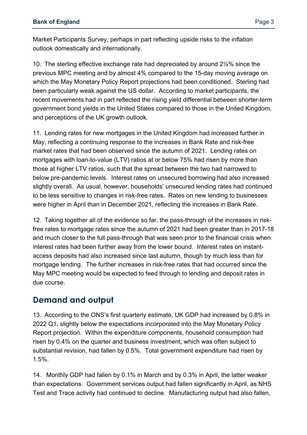Market Participants Survey, perhaps in part reflecting upside risks to the inflation outlook domestically and internationally.

10. The sterling effective exchange rate had depreciated by around 2½% since the previous MPC meeting and by almost 4% compared to the 15-day moving average on which the May Monetary Policy Report projections had been conditioned. Sterling had been particularly weak against the US dollar. According to market participants, the recent movements had in part reflected the rising yield differential between shorter-term government bond yields in the United States compared to those in the United Kingdom, and perceptions of the UK growth outlook.

11. Lending rates for new mortgages in the United Kingdom had increased further in May, reflecting a continuing response to the increases in Bank Rate and risk-free market rates that had been observed since the autumn of 2021. Lending rates on mortgages with loan-to-value (LTV) ratios at or below 75% had risen by more than those at higher LTV ratios, such that the spread between the two had narrowed to below pre-pandemic levels. Interest rates on unsecured borrowing had also increased slightly overall. As usual, however, households' unsecured lending rates had continued to be less sensitive to changes in risk-free rates. Rates on new lending to businesses were higher in April than in December 2021, reflecting the increases in Bank Rate.

12. Taking together all of the evidence so far, the pass-through of the increases in riskfree rates to mortgage rates since the autumn of 2021 had been greater than in 2017-18 and much closer to the full pass-through that was seen prior to the financial crisis when interest rates had been further away from the lower bound. Interest rates on instantaccess deposits had also increased since last autumn, though by much less than for mortgage lending. The further increases in risk-free rates that had occurred since the May MPC meeting would be expected to feed through to lending and deposit rates in due course.

#### **Demand and output**

13. According to the ONS's first quarterly estimate, UK GDP had increased by 0.8% in 2022 Q1, slightly below the expectations incorporated into the May Monetary Policy Report projection. Within the expenditure components, household consumption had risen by 0.4% on the quarter and business investment, which was often subject to substantial revision, had fallen by 0.5%. Total government expenditure had risen by 1.5%.

14. Monthly GDP had fallen by 0.1% in March and by 0.3% in April, the latter weaker than expectations. Government services output had fallen significantly in April, as NHS Test and Trace activity had continued to decline. Manufacturing output had also fallen,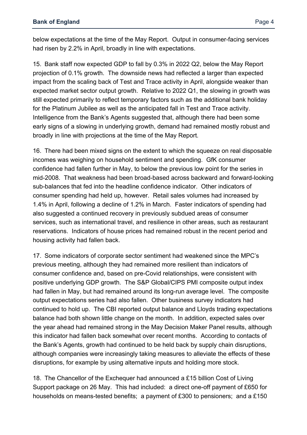below expectations at the time of the May Report. Output in consumer-facing services had risen by 2.2% in April, broadly in line with expectations.

15. Bank staff now expected GDP to fall by 0.3% in 2022 Q2, below the May Report projection of 0.1% growth. The downside news had reflected a larger than expected impact from the scaling back of Test and Trace activity in April, alongside weaker than expected market sector output growth. Relative to 2022 Q1, the slowing in growth was still expected primarily to reflect temporary factors such as the additional bank holiday for the Platinum Jubilee as well as the anticipated fall in Test and Trace activity. Intelligence from the Bank's Agents suggested that, although there had been some early signs of a slowing in underlying growth, demand had remained mostly robust and broadly in line with projections at the time of the May Report*.*

16. There had been mixed signs on the extent to which the squeeze on real disposable incomes was weighing on household sentiment and spending. GfK consumer confidence had fallen further in May, to below the previous low point for the series in mid-2008. That weakness had been broad-based across backward and forward-looking sub-balances that fed into the headline confidence indicator. Other indicators of consumer spending had held up, however. Retail sales volumes had increased by 1.4% in April, following a decline of 1.2% in March. Faster indicators of spending had also suggested a continued recovery in previously subdued areas of consumer services, such as international travel, and resilience in other areas, such as restaurant reservations. Indicators of house prices had remained robust in the recent period and housing activity had fallen back.

17. Some indicators of corporate sector sentiment had weakened since the MPC's previous meeting, although they had remained more resilient than indicators of consumer confidence and, based on pre-Covid relationships, were consistent with positive underlying GDP growth. The S&P Global/CIPS PMI composite output index had fallen in May, but had remained around its long-run average level. The composite output expectations series had also fallen. Other business survey indicators had continued to hold up. The CBI reported output balance and Lloyds trading expectations balance had both shown little change on the month. In addition, expected sales over the year ahead had remained strong in the May Decision Maker Panel results, although this indicator had fallen back somewhat over recent months. According to contacts of the Bank's Agents, growth had continued to be held back by supply chain disruptions, although companies were increasingly taking measures to alleviate the effects of these disruptions, for example by using alternative inputs and holding more stock.

18. The Chancellor of the Exchequer had announced a £15 billion Cost of Living Support package on 26 May. This had included: a direct one-off payment of £650 for households on means-tested benefits; a payment of £300 to pensioners; and a £150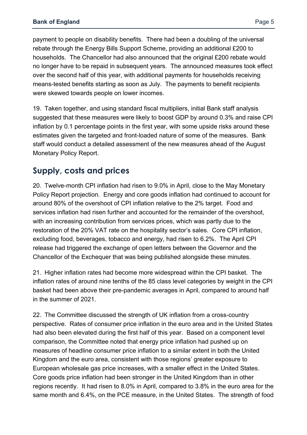payment to people on disability benefits. There had been a doubling of the universal rebate through the Energy Bills Support Scheme, providing an additional £200 to households. The Chancellor had also announced that the original £200 rebate would no longer have to be repaid in subsequent years. The announced measures took effect over the second half of this year, with additional payments for households receiving means-tested benefits starting as soon as July. The payments to benefit recipients were skewed towards people on lower incomes.

19. Taken together, and using standard fiscal multipliers, initial Bank staff analysis suggested that these measures were likely to boost GDP by around 0.3% and raise CPI inflation by 0.1 percentage points in the first year, with some upside risks around these estimates given the targeted and front-loaded nature of some of the measures. Bank staff would conduct a detailed assessment of the new measures ahead of the August Monetary Policy Report.

#### **Supply, costs and prices**

20. Twelve-month CPI inflation had risen to 9.0% in April, close to the May Monetary Policy Report projection. Energy and core goods inflation had continued to account for around 80% of the overshoot of CPI inflation relative to the 2% target. Food and services inflation had risen further and accounted for the remainder of the overshoot, with an increasing contribution from services prices, which was partly due to the restoration of the 20% VAT rate on the hospitality sector's sales. Core CPI inflation, excluding food, beverages, tobacco and energy, had risen to 6.2%. The April CPI release had triggered the exchange of open letters between the Governor and the Chancellor of the Exchequer that was being published alongside these minutes.

21. Higher inflation rates had become more widespread within the CPI basket. The inflation rates of around nine tenths of the 85 class level categories by weight in the CPI basket had been above their pre-pandemic averages in April, compared to around half in the summer of 2021.

22. The Committee discussed the strength of UK inflation from a cross-country perspective. Rates of consumer price inflation in the euro area and in the United States had also been elevated during the first half of this year. Based on a component level comparison, the Committee noted that energy price inflation had pushed up on measures of headline consumer price inflation to a similar extent in both the United Kingdom and the euro area, consistent with those regions' greater exposure to European wholesale gas price increases, with a smaller effect in the United States. Core goods price inflation had been stronger in the United Kingdom than in other regions recently. It had risen to 8.0% in April, compared to 3.8% in the euro area for the same month and 6.4%, on the PCE measure, in the United States. The strength of food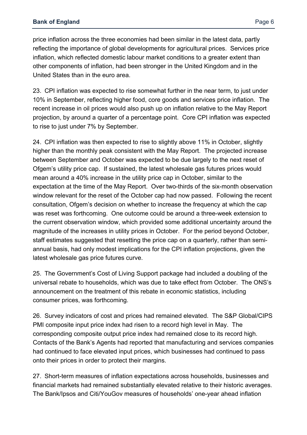price inflation across the three economies had been similar in the latest data, partly reflecting the importance of global developments for agricultural prices. Services price inflation, which reflected domestic labour market conditions to a greater extent than other components of inflation, had been stronger in the United Kingdom and in the United States than in the euro area.

23. CPI inflation was expected to rise somewhat further in the near term, to just under 10% in September, reflecting higher food, core goods and services price inflation. The recent increase in oil prices would also push up on inflation relative to the May Report projection, by around a quarter of a percentage point. Core CPI inflation was expected to rise to just under 7% by September.

24. CPI inflation was then expected to rise to slightly above 11% in October, slightly higher than the monthly peak consistent with the May Report. The projected increase between September and October was expected to be due largely to the next reset of Ofgem's utility price cap. If sustained, the latest wholesale gas futures prices would mean around a 40% increase in the utility price cap in October, similar to the expectation at the time of the May Report. Over two-thirds of the six-month observation window relevant for the reset of the October cap had now passed. Following the recent consultation, Ofgem's decision on whether to increase the frequency at which the cap was reset was forthcoming. One outcome could be around a three-week extension to the current observation window, which provided some additional uncertainty around the magnitude of the increases in utility prices in October. For the period beyond October, staff estimates suggested that resetting the price cap on a quarterly, rather than semiannual basis, had only modest implications for the CPI inflation projections, given the latest wholesale gas price futures curve.

25. The Government's Cost of Living Support package had included a doubling of the universal rebate to households, which was due to take effect from October. The ONS's announcement on the treatment of this rebate in economic statistics, including consumer prices, was forthcoming.

26. Survey indicators of cost and prices had remained elevated. The S&P Global/CIPS PMI composite input price index had risen to a record high level in May. The corresponding composite output price index had remained close to its record high. Contacts of the Bank's Agents had reported that manufacturing and services companies had continued to face elevated input prices, which businesses had continued to pass onto their prices in order to protect their margins.

27. Short-term measures of inflation expectations across households, businesses and financial markets had remained substantially elevated relative to their historic averages. The Bank/Ipsos and Citi/YouGov measures of households' one-year ahead inflation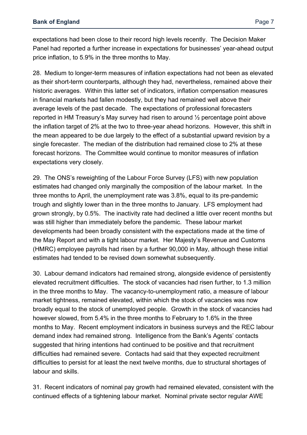expectations had been close to their record high levels recently. The Decision Maker Panel had reported a further increase in expectations for businesses' year-ahead output price inflation, to 5.9% in the three months to May.

28. Medium to longer-term measures of inflation expectations had not been as elevated as their short-term counterparts, although they had, nevertheless, remained above their historic averages. Within this latter set of indicators, inflation compensation measures in financial markets had fallen modestly, but they had remained well above their average levels of the past decade. The expectations of professional forecasters reported in HM Treasury's May survey had risen to around ½ percentage point above the inflation target of 2% at the two to three-year ahead horizons. However, this shift in the mean appeared to be due largely to the effect of a substantial upward revision by a single forecaster. The median of the distribution had remained close to 2% at these forecast horizons. The Committee would continue to monitor measures of inflation expectations very closely.

29. The ONS's reweighting of the Labour Force Survey (LFS) with new population estimates had changed only marginally the composition of the labour market. In the three months to April, the unemployment rate was 3.8%, equal to its pre-pandemic trough and slightly lower than in the three months to January. LFS employment had grown strongly, by 0.5%. The inactivity rate had declined a little over recent months but was still higher than immediately before the pandemic. These labour market developments had been broadly consistent with the expectations made at the time of the May Report and with a tight labour market*.* Her Majesty's Revenue and Customs (HMRC) employee payrolls had risen by a further 90,000 in May, although these initial estimates had tended to be revised down somewhat subsequently.

30. Labour demand indicators had remained strong, alongside evidence of persistently elevated recruitment difficulties. The stock of vacancies had risen further, to 1.3 million in the three months to May. The vacancy-to-unemployment ratio, a measure of labour market tightness, remained elevated, within which the stock of vacancies was now broadly equal to the stock of unemployed people. Growth in the stock of vacancies had however slowed, from 5.4% in the three months to February to 1.6% in the three months to May. Recent employment indicators in business surveys and the REC labour demand index had remained strong. Intelligence from the Bank's Agents' contacts suggested that hiring intentions had continued to be positive and that recruitment difficulties had remained severe. Contacts had said that they expected recruitment difficulties to persist for at least the next twelve months, due to structural shortages of labour and skills.

31. Recent indicators of nominal pay growth had remained elevated, consistent with the continued effects of a tightening labour market. Nominal private sector regular AWE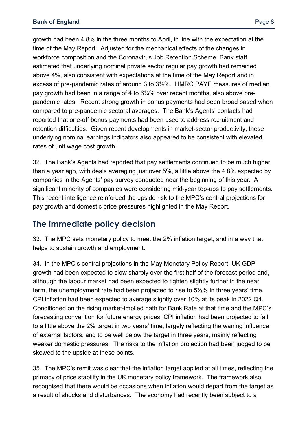growth had been 4.8% in the three months to April, in line with the expectation at the time of the May Report. Adjusted for the mechanical effects of the changes in workforce composition and the Coronavirus Job Retention Scheme, Bank staff estimated that underlying nominal private sector regular pay growth had remained above 4%, also consistent with expectations at the time of the May Report and in excess of pre-pandemic rates of around 3 to 3½%. HMRC PAYE measures of median pay growth had been in a range of 4 to 6¼% over recent months, also above prepandemic rates. Recent strong growth in bonus payments had been broad based when compared to pre-pandemic sectoral averages. The Bank's Agents' contacts had reported that one-off bonus payments had been used to address recruitment and retention difficulties. Given recent developments in market-sector productivity, these underlying nominal earnings indicators also appeared to be consistent with elevated rates of unit wage cost growth.

32. The Bank's Agents had reported that pay settlements continued to be much higher than a year ago, with deals averaging just over 5%, a little above the 4.8% expected by companies in the Agents' pay survey conducted near the beginning of this year. A significant minority of companies were considering mid-year top-ups to pay settlements. This recent intelligence reinforced the upside risk to the MPC's central projections for pay growth and domestic price pressures highlighted in the May Report.

## **The immediate policy decision**

33. The MPC sets monetary policy to meet the 2% inflation target, and in a way that helps to sustain growth and employment.

34. In the MPC's central projections in the May Monetary Policy Report, UK GDP growth had been expected to slow sharply over the first half of the forecast period and, although the labour market had been expected to tighten slightly further in the near term, the unemployment rate had been projected to rise to 5½% in three years' time. CPI inflation had been expected to average slightly over 10% at its peak in 2022 Q4. Conditioned on the rising market-implied path for Bank Rate at that time and the MPC's forecasting convention for future energy prices, CPI inflation had been projected to fall to a little above the 2% target in two years' time, largely reflecting the waning influence of external factors, and to be well below the target in three years, mainly reflecting weaker domestic pressures. The risks to the inflation projection had been judged to be skewed to the upside at these points.

35. The MPC's remit was clear that the inflation target applied at all times, reflecting the primacy of price stability in the UK monetary policy framework. The framework also recognised that there would be occasions when inflation would depart from the target as a result of shocks and disturbances. The economy had recently been subject to a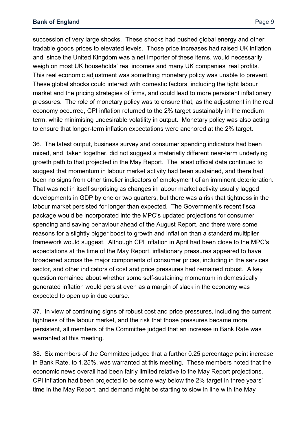succession of very large shocks. These shocks had pushed global energy and other

tradable goods prices to elevated levels. Those price increases had raised UK inflation and, since the United Kingdom was a net importer of these items, would necessarily weigh on most UK households' real incomes and many UK companies' real profits. This real economic adjustment was something monetary policy was unable to prevent. These global shocks could interact with domestic factors, including the tight labour market and the pricing strategies of firms, and could lead to more persistent inflationary pressures. The role of monetary policy was to ensure that, as the adjustment in the real economy occurred, CPI inflation returned to the 2% target sustainably in the medium term, while minimising undesirable volatility in output. Monetary policy was also acting to ensure that longer-term inflation expectations were anchored at the 2% target.

36. The latest output, business survey and consumer spending indicators had been mixed, and, taken together, did not suggest a materially different near-term underlying growth path to that projected in the May Report. The latest official data continued to suggest that momentum in labour market activity had been sustained, and there had been no signs from other timelier indicators of employment of an imminent deterioration. That was not in itself surprising as changes in labour market activity usually lagged developments in GDP by one or two quarters, but there was a risk that tightness in the labour market persisted for longer than expected. The Government's recent fiscal package would be incorporated into the MPC's updated projections for consumer spending and saving behaviour ahead of the August Report, and there were some reasons for a slightly bigger boost to growth and inflation than a standard multiplier framework would suggest. Although CPI inflation in April had been close to the MPC's expectations at the time of the May Report, inflationary pressures appeared to have broadened across the major components of consumer prices, including in the services sector, and other indicators of cost and price pressures had remained robust. A key question remained about whether some self-sustaining momentum in domestically generated inflation would persist even as a margin of slack in the economy was expected to open up in due course.

37. In view of continuing signs of robust cost and price pressures, including the current tightness of the labour market, and the risk that those pressures became more persistent, all members of the Committee judged that an increase in Bank Rate was warranted at this meeting.

38. Six members of the Committee judged that a further 0.25 percentage point increase in Bank Rate, to 1.25%, was warranted at this meeting. These members noted that the economic news overall had been fairly limited relative to the May Report projections. CPI inflation had been projected to be some way below the 2% target in three years' time in the May Report, and demand might be starting to slow in line with the May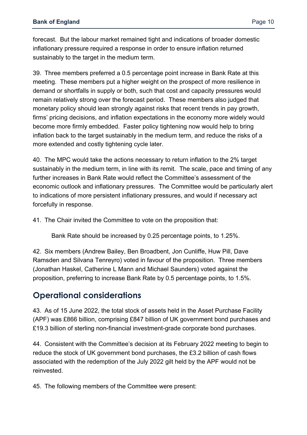forecast. But the labour market remained tight and indications of broader domestic inflationary pressure required a response in order to ensure inflation returned sustainably to the target in the medium term.

39. Three members preferred a 0.5 percentage point increase in Bank Rate at this meeting. These members put a higher weight on the prospect of more resilience in demand or shortfalls in supply or both, such that cost and capacity pressures would remain relatively strong over the forecast period. These members also judged that monetary policy should lean strongly against risks that recent trends in pay growth, firms' pricing decisions, and inflation expectations in the economy more widely would become more firmly embedded. Faster policy tightening now would help to bring inflation back to the target sustainably in the medium term, and reduce the risks of a more extended and costly tightening cycle later.

40. The MPC would take the actions necessary to return inflation to the 2% target sustainably in the medium term, in line with its remit. The scale, pace and timing of any further increases in Bank Rate would reflect the Committee's assessment of the economic outlook and inflationary pressures. The Committee would be particularly alert to indications of more persistent inflationary pressures, and would if necessary act forcefully in response.

41. The Chair invited the Committee to vote on the proposition that:

Bank Rate should be increased by 0.25 percentage points, to 1.25%.

42. Six members (Andrew Bailey, Ben Broadbent, Jon Cunliffe, Huw Pill, Dave Ramsden and Silvana Tenreyro) voted in favour of the proposition. Three members (Jonathan Haskel, Catherine L Mann and Michael Saunders) voted against the proposition, preferring to increase Bank Rate by 0.5 percentage points, to 1.5%.

#### **Operational considerations**

43. As of 15 June 2022, the total stock of assets held in the Asset Purchase Facility (APF) was £866 billion, comprising £847 billion of UK government bond purchases and £19.3 billion of sterling non-financial investment-grade corporate bond purchases.

44. Consistent with the Committee's decision at its February 2022 meeting to begin to reduce the stock of UK government bond purchases, the £3.2 billion of cash flows associated with the redemption of the July 2022 gilt held by the APF would not be reinvested.

45. The following members of the Committee were present: